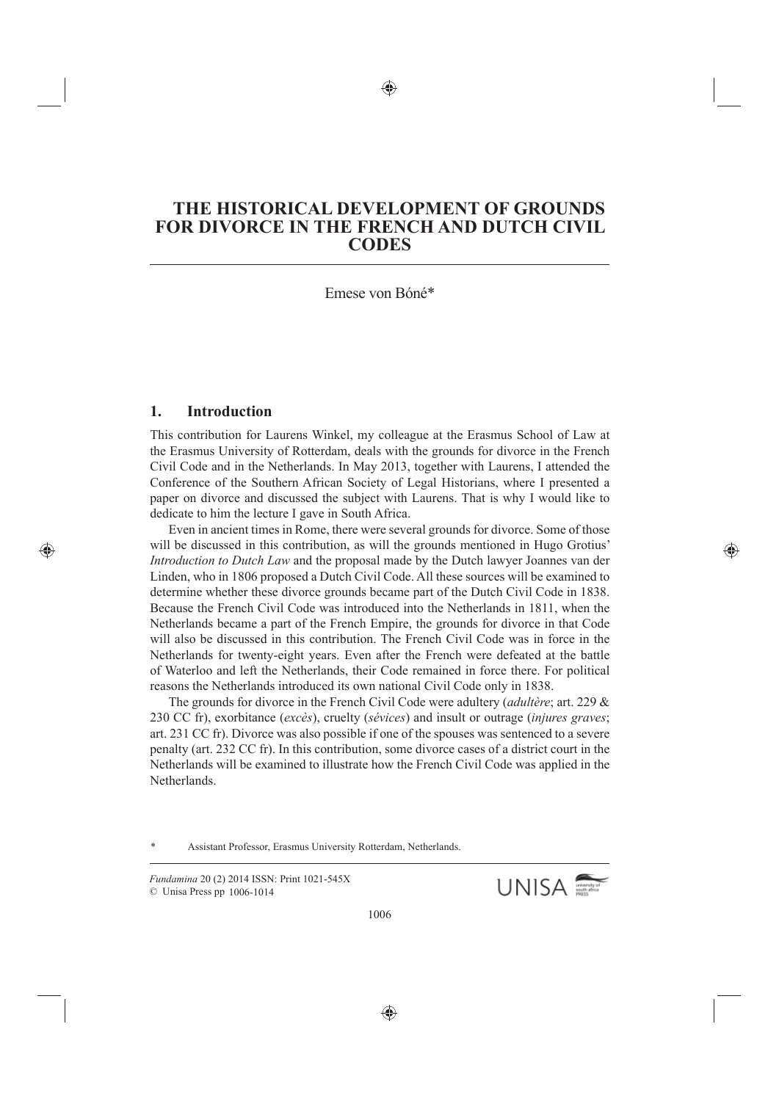# **THE HISTORICAL DEVELOPMENT OF GROUNDS FOR DIVORCE IN THE FRENCH AND DUTCH CIVIL CODES**

#### Emese von Bóné\*

### **1. Introduction**

This contribution for Laurens Winkel, my colleague at the Erasmus School of Law at the Erasmus University of Rotterdam, deals with the grounds for divorce in the French Civil Code and in the Netherlands. In May 2013, together with Laurens, I attended the Conference of the Southern African Society of Legal Historians, where I presented a paper on divorce and discussed the subject with Laurens. That is why I would like to dedicate to him the lecture I gave in South Africa.

Even in ancient times in Rome, there were several grounds for divorce. Some of those will be discussed in this contribution, as will the grounds mentioned in Hugo Grotius' *Introduction to Dutch Law* and the proposal made by the Dutch lawyer Joannes van der Linden, who in 1806 proposed a Dutch Civil Code. All these sources will be examined to determine whether these divorce grounds became part of the Dutch Civil Code in 1838. Because the French Civil Code was introduced into the Netherlands in 1811, when the Netherlands became a part of the French Empire, the grounds for divorce in that Code will also be discussed in this contribution. The French Civil Code was in force in the Netherlands for twenty-eight years. Even after the French were defeated at the battle of Waterloo and left the Netherlands, their Code remained in force there. For political reasons the Netherlands introduced its own national Civil Code only in 1838.

The grounds for divorce in the French Civil Code were adultery (*adultère*; art. 229 & 230 CC fr), exorbitance (*excès*), cruelty (*sévices*) and insult or outrage (*injures graves*; art. 231 CC fr). Divorce was also possible if one of the spouses was sentenced to a severe penalty (art. 232 CC fr). In this contribution, some divorce cases of a district court in the Netherlands will be examined to illustrate how the French Civil Code was applied in the **Netherlands** 

Assistant Professor, Erasmus University Rotterdam, Netherlands.

*Fundamina* 20 (2) 2014 ISSN: Print 1021-545X

© Unisa Press pp 1006-1014

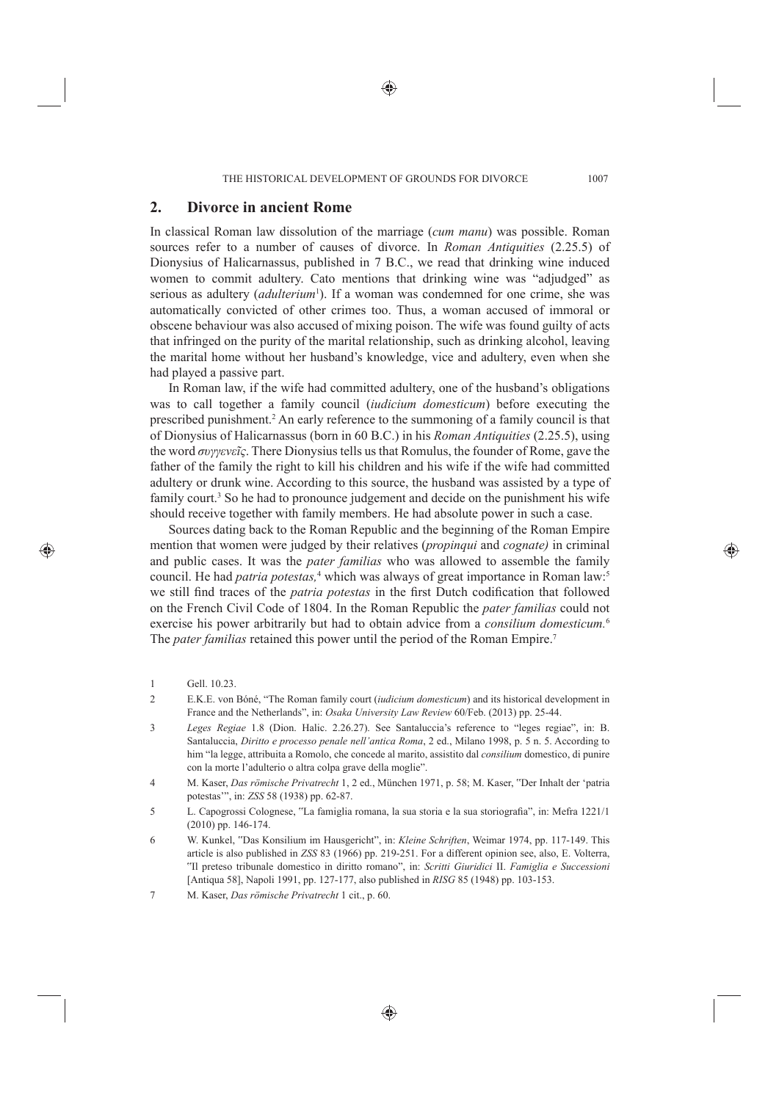#### **2. Divorce in ancient Rome**

In classical Roman law dissolution of the marriage (*cum manu*) was possible. Roman sources refer to a number of causes of divorce. In *Roman Antiquities* (2.25.5) of Dionysius of Halicarnassus, published in 7 B.C., we read that drinking wine induced women to commit adultery. Cato mentions that drinking wine was "adjudged" as serious as adultery (*adulterium*<sup>1</sup>). If a woman was condemned for one crime, she was automatically convicted of other crimes too. Thus, a woman accused of immoral or obscene behaviour was also accused of mixing poison. The wife was found guilty of acts that infringed on the purity of the marital relationship, such as drinking alcohol, leaving the marital home without her husband's knowledge, vice and adultery, even when she had played a passive part.

In Roman law, if the wife had committed adultery, one of the husband's obligations was to call together a family council (*iudicium domesticum*) before executing the prescribed punishment.<sup>2</sup> An early reference to the summoning of a family council is that of Dionysius of Halicarnassus (born in 60 B.C.) in his *Roman Antiquities* (2.25.5), using the word *συγγενεῖς*. There Dionysius tells us that Romulus, the founder of Rome, gave the father of the family the right to kill his children and his wife if the wife had committed adultery or drunk wine. According to this source, the husband was assisted by a type of family court.<sup>3</sup> So he had to pronounce judgement and decide on the punishment his wife should receive together with family members. He had absolute power in such a case.

Sources dating back to the Roman Republic and the beginning of the Roman Empire mention that women were judged by their relatives (*propinqui* and *cognate)* in criminal and public cases. It was the *pater familias* who was allowed to assemble the family council. He had *patria potestas*,<sup>4</sup> which was always of great importance in Roman law:<sup>5</sup> we still find traces of the *patria potestas* in the first Dutch codification that followed on the French Civil Code of 1804. In the Roman Republic the *pater familias* could not exercise his power arbitrarily but had to obtain advice from a *consilium domesticum.*<sup>6</sup> The *pater familias* retained this power until the period of the Roman Empire.7

- 3 *Leges Regiae* 1.8 (Dion. Halic. 2.26.27). See Santaluccia's reference to "leges regiae", in: B. Santaluccia, *Diritto e processo penale nell'antica Roma*, 2 ed., Milano 1998, p. 5 n. 5. According to him "la legge, attribuita a Romolo, che concede al marito, assistito dal *consilium* domestico, di punire con la morte l'adulterio o altra colpa grave della moglie".
- 4 M. Kaser, *Das römische Privatrecht* 1, 2 ed., München 1971, p. 58; M. Kaser, "Der Inhalt der ʻpatria potestas'", in: *ZSS* 58 (1938) pp. 62-87.
- 5 L. Capogrossi Colognese, "La famiglia romana, la sua storia e la sua storiografi a", in: Mefra 1221/1 (2010) pp. 146-174.
- 6 W. Kunkel, "Das Konsilium im Hausgericht", in: *Kleine Schriften*, Weimar 1974, pp. 117-149. This article is also published in *ZSS* 83 (1966) pp. 219-251. For a different opinion see, also, E. Volterra, "Il preteso tribunale domestico in diritto romano", in: *Scritti Giuridici* II. *Famiglia e Successioni* [Antiqua 58], Napoli 1991, pp. 127-177, also published in *RISG* 85 (1948) pp. 103-153.

<sup>1</sup> Gell. 10.23.

<sup>2</sup> E.K.E. von Bóné, "The Roman family court (*iudicium domesticum*) and its historical development in France and the Netherlands", in: *Osaka University Law Review* 60/Feb. (2013) pp. 25-44.

<sup>7</sup> M. Kaser, *Das römische Privatrecht* 1 cit., p. 60.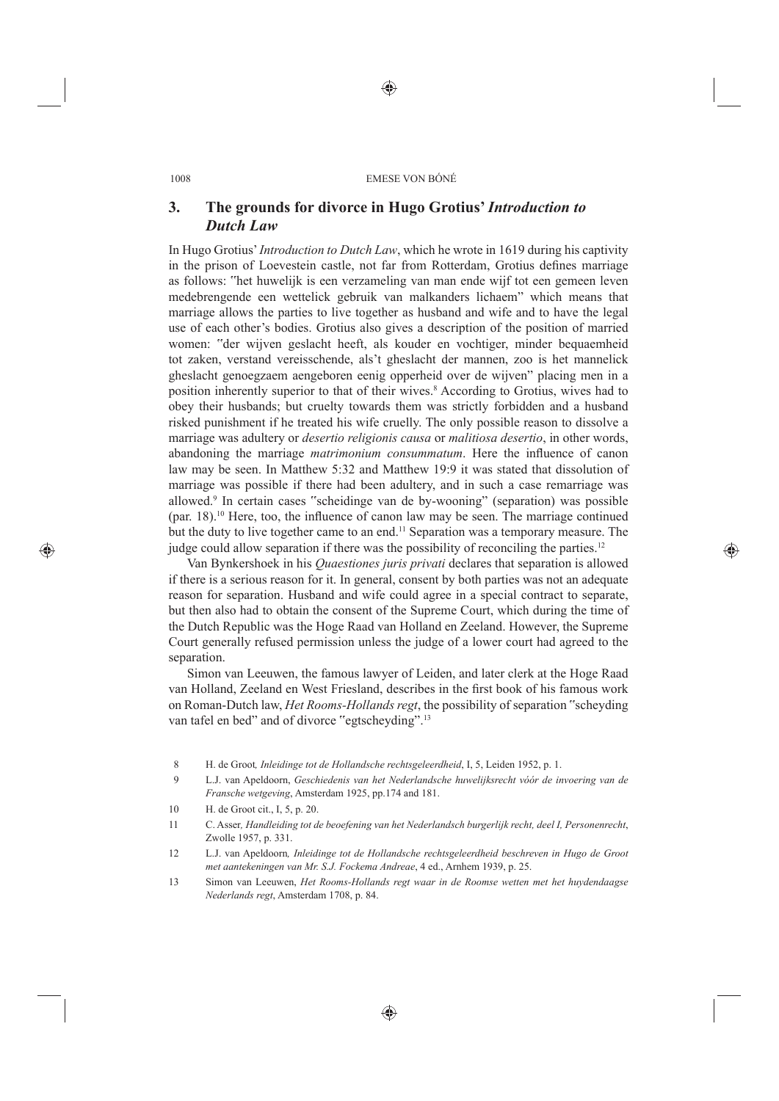## **3. The grounds for divorce in Hugo Grotius'** *Introduction to Dutch Law*

In Hugo Grotius' *Introduction to Dutch Law*, which he wrote in 1619 during his captivity in the prison of Loevestein castle, not far from Rotterdam, Grotius defines marriage as follows: "het huwelijk is een verzameling van man ende wijf tot een gemeen leven medebrengende een wettelick gebruik van malkanders lichaem" which means that marriage allows the parties to live together as husband and wife and to have the legal use of each other's bodies. Grotius also gives a description of the position of married women: "der wijven geslacht heeft, als kouder en vochtiger, minder bequaemheid tot zaken, verstand vereisschende, als't gheslacht der mannen, zoo is het mannelick gheslacht genoegzaem aengeboren eenig opperheid over de wijven" placing men in a position inherently superior to that of their wives.<sup>8</sup> According to Grotius, wives had to obey their husbands; but cruelty towards them was strictly forbidden and a husband risked punishment if he treated his wife cruelly. The only possible reason to dissolve a marriage was adultery or *desertio religionis causa* or *malitiosa desertio*, in other words, abandoning the marriage *matrimonium consummatum*. Here the influence of canon law may be seen. In Matthew 5:32 and Matthew 19:9 it was stated that dissolution of marriage was possible if there had been adultery, and in such a case remarriage was allowed.9 In certain cases "scheidinge van de by-wooning" (separation) was possible  $(par. 18)$ .<sup>10</sup> Here, too, the influence of canon law may be seen. The marriage continued but the duty to live together came to an end.<sup>11</sup> Separation was a temporary measure. The judge could allow separation if there was the possibility of reconciling the parties.<sup>12</sup>

Van Bynkershoek in his *Quaestiones juris privati* declares that separation is allowed if there is a serious reason for it. In general, consent by both parties was not an adequate reason for separation. Husband and wife could agree in a special contract to separate, but then also had to obtain the consent of the Supreme Court, which during the time of the Dutch Republic was the Hoge Raad van Holland en Zeeland. However, the Supreme Court generally refused permission unless the judge of a lower court had agreed to the separation.

Simon van Leeuwen, the famous lawyer of Leiden, and later clerk at the Hoge Raad van Holland, Zeeland en West Friesland, describes in the first book of his famous work on Roman-Dutch law, *Het Rooms-Hollands regt*, the possibility of separation "scheyding van tafel en bed" and of divorce "egtscheyding".<sup>13</sup>

- 8 H. de Groot*, Inleidinge tot de Hollandsche rechtsgeleerdheid*, I, 5, Leiden 1952, p. 1.
- 9 L.J. van Apeldoorn, *Geschiedenis van het Nederlandsche huwelijksrecht vóór de invoering van de Fransche wetgeving*, Amsterdam 1925, pp.174 and 181.
- 10 H. de Groot cit., I, 5, p. 20.
- 11 C. Asser*, Handleiding tot de beoefening van het Nederlandsch burgerlijk recht, deel I, Personenrecht*, Zwolle 1957, p. 331.
- 12 L.J. van Apeldoorn*, Inleidinge tot de Hollandsche rechtsgeleerdheid beschreven in Hugo de Groot met aantekeningen van Mr. S.J. Fockema Andreae*, 4 ed., Arnhem 1939, p. 25.
- 13 Simon van Leeuwen, *Het Rooms-Hollands regt waar in de Roomse wetten met het huydendaagse Nederlands regt*, Amsterdam 1708, p. 84.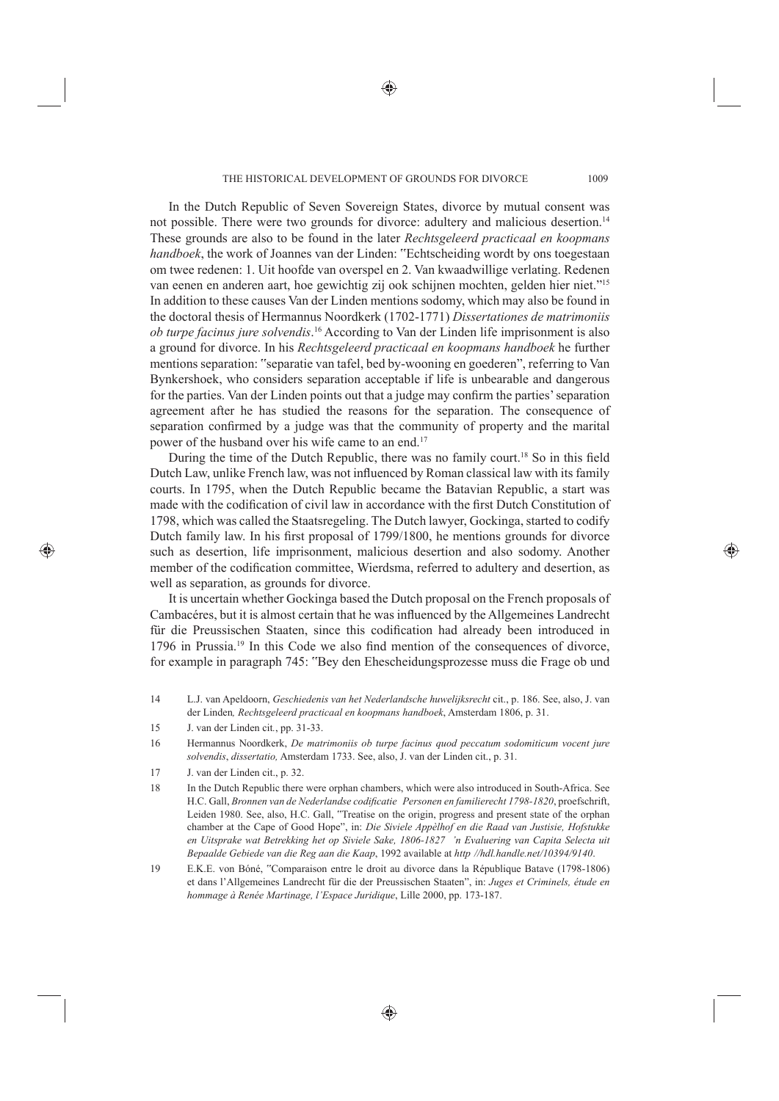In the Dutch Republic of Seven Sovereign States, divorce by mutual consent was not possible. There were two grounds for divorce: adultery and malicious desertion.14 These grounds are also to be found in the later *Rechtsgeleerd practicaal en koopmans handboek*, the work of Joannes van der Linden: "Echtscheiding wordt by ons toegestaan om twee redenen: 1. Uit hoofde van overspel en 2. Van kwaadwillige verlating. Redenen van eenen en anderen aart, hoe gewichtig zij ook schijnen mochten, gelden hier niet."15 In addition to these causes Van der Linden mentions sodomy, which may also be found in the doctoral thesis of Hermannus Noordkerk (1702-1771) *Dissertationes de matrimoniis ob turpe facinus jure solvendis*. 16 According to Van der Linden life imprisonment is also a ground for divorce. In his *Rechtsgeleerd practicaal en koopmans handboek* he further mentions separation: "separatie van tafel, bed by-wooning en goederen", referring to Van Bynkershoek, who considers separation acceptable if life is unbearable and dangerous for the parties. Van der Linden points out that a judge may confirm the parties' separation agreement after he has studied the reasons for the separation. The consequence of separation confirmed by a judge was that the community of property and the marital power of the husband over his wife came to an end.17

During the time of the Dutch Republic, there was no family court.<sup>18</sup> So in this field Dutch Law, unlike French law, was not influenced by Roman classical law with its family courts. In 1795, when the Dutch Republic became the Batavian Republic, a start was made with the codification of civil law in accordance with the first Dutch Constitution of 1798, which was called the Staatsregeling. The Dutch lawyer, Gockinga, started to codify Dutch family law. In his first proposal of 1799/1800, he mentions grounds for divorce such as desertion, life imprisonment, malicious desertion and also sodomy. Another member of the codification committee, Wierdsma, referred to adultery and desertion, as well as separation, as grounds for divorce.

It is uncertain whether Gockinga based the Dutch proposal on the French proposals of Cambacéres, but it is almost certain that he was influenced by the Allgemeines Landrecht für die Preussischen Staaten, since this codification had already been introduced in  $1796$  in Prussia.<sup>19</sup> In this Code we also find mention of the consequences of divorce, for example in paragraph 745: "Bey den Ehescheidungsprozesse muss die Frage ob und

- 14 L.J. van Apeldoorn, *Geschiedenis van het Nederlandsche huwelijksrecht* cit., p. 186. See, also, J. van der Linden*, Rechtsgeleerd practicaal en koopmans handboek*, Amsterdam 1806, p. 31.
- 15 J. van der Linden cit*.*, pp. 31-33.
- 16 Hermannus Noordkerk, *De matrimoniis ob turpe facinus quod peccatum sodomiticum vocent jure solvendis*, *dissertatio,* Amsterdam 1733. See, also, J. van der Linden cit., p. 31.
- 17 J. van der Linden cit., p. 32.
- 18 In the Dutch Republic there were orphan chambers, which were also introduced in South-Africa. See H.C. Gall, *Bronnen van de Nederlandse codificatie Personen en familierecht 1798-1820*, proefschrift, Leiden 1980. See, also, H.C. Gall, "Treatise on the origin, progress and present state of the orphan chamber at the Cape of Good Hope", in: *Die Siviele Appèlhof en die Raad van Justisie, Hofstukke en Uitsprake wat Betrekking het op Siviele Sake, 1806-1827 'n Evaluering van Capita Selecta uit Bepaalde Gebiede van die Reg aan die Kaap*, 1992 available at *http //hdl.handle.net/10394/9140*.
- 19 E.K.E. von Bóné, "Comparaison entre le droit au divorce dans la République Batave (1798-1806) et dans l'Allgemeines Landrecht für die der Preussischen Staaten", in: *Juges et Criminels, étude en hommage à Renée Martinage, l'Espace Juridique*, Lille 2000, pp. 173-187.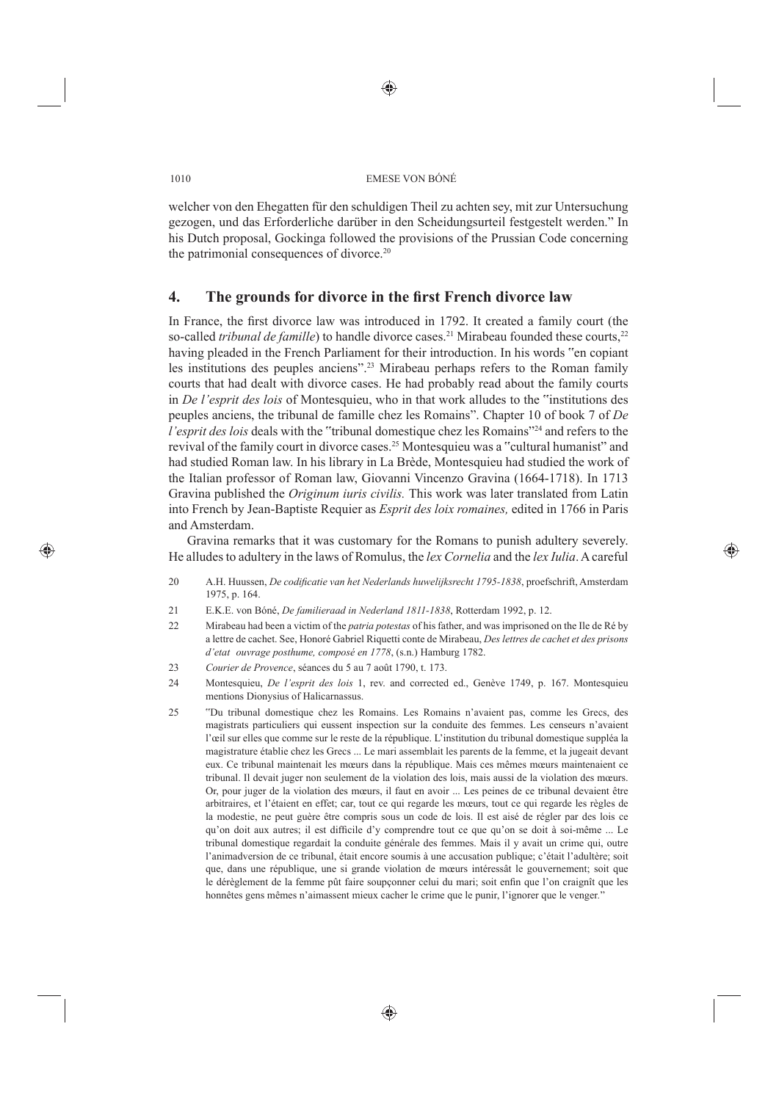welcher von den Ehegatten für den schuldigen Theil zu achten sey, mit zur Untersuchung gezogen, und das Erforderliche darüber in den Scheidungsurteil festgestelt werden." In his Dutch proposal, Gockinga followed the provisions of the Prussian Code concerning the patrimonial consequences of divorce.<sup>20</sup>

## **4.** The grounds for divorce in the first French divorce law

In France, the first divorce law was introduced in 1792. It created a family court (the so-called *tribunal de famille*) to handle divorce cases.<sup>21</sup> Mirabeau founded these courts,<sup>22</sup> having pleaded in the French Parliament for their introduction. In his words "en copiant les institutions des peuples anciens".23 Mirabeau perhaps refers to the Roman family courts that had dealt with divorce cases. He had probably read about the family courts in *De l'esprit des lois* of Montesquieu, who in that work alludes to the "institutions des peuples anciens, the tribunal de famille chez les Romains". Chapter 10 of book 7 of *De l'esprit des lois* deals with the "tribunal domestique chez les Romains"24 and refers to the revival of the family court in divorce cases.25 Montesquieu was a "cultural humanist" and had studied Roman law. In his library in La Brède, Montesquieu had studied the work of the Italian professor of Roman law, Giovanni Vincenzo Gravina (1664-1718). In 1713 Gravina published the *Originum iuris civilis.* This work was later translated from Latin into French by Jean-Baptiste Requier as *Esprit des loix romaines,* edited in 1766 in Paris and Amsterdam.

Gravina remarks that it was customary for the Romans to punish adultery severely. He alludes to adultery in the laws of Romulus, the *lex Cornelia* and the *lex Iulia*. A careful

- 20 A.H. Huussen, *De codificatie van het Nederlands huwelijksrecht 1795-1838*, proefschrift, Amsterdam 1975, p. 164.
- 21 E.K.E. von Bóné, *De familieraad in Nederland 1811-1838*, Rotterdam 1992, p. 12.
- 22 Mirabeau had been a victim of the *patria potestas* of his father, and was imprisoned on the Ile de Ré by a lettre de cachet. See, Honoré Gabriel Riquetti conte de Mirabeau, *Des lettres de cachet et des prisons d'etat ouvrage posthume, composé en 1778*, (s.n.) Hamburg 1782.
- 23 *Courier de Provence*, séances du 5 au 7 août 1790, t. 173.
- 24 Montesquieu, *De l'esprit des lois* 1, rev. and corrected ed., Genève 1749, p. 167. Montesquieu mentions Dionysius of Halicarnassus.
- 25 "Du tribunal domestique chez les Romains. Les Romains n'avaient pas, comme les Grecs, des magistrats particuliers qui eussent inspection sur la conduite des femmes. Les censeurs n'avaient l'œil sur elles que comme sur le reste de la république. L'institution du tribunal domestique suppléa la magistrature établie chez les Grecs ... Le mari assemblait les parents de la femme, et la jugeait devant eux. Ce tribunal maintenait les mœurs dans la république. Mais ces mêmes mœurs maintenaient ce tribunal. Il devait juger non seulement de la violation des lois, mais aussi de la violation des mœurs. Or, pour juger de la violation des mœurs, il faut en avoir ... Les peines de ce tribunal devaient être arbitraires, et l'étaient en effet; car, tout ce qui regarde les mœurs, tout ce qui regarde les règles de la modestie, ne peut guère être compris sous un code de lois. Il est aisé de régler par des lois ce qu'on doit aux autres; il est difficile d'y comprendre tout ce que qu'on se doit à soi-même ... Le tribunal domestique regardait la conduite générale des femmes. Mais il y avait un crime qui, outre l'animadversion de ce tribunal, était encore soumis à une accusation publique; c'était l'adultère; soit que, dans une république, une si grande violation de mœurs intéressât le gouvernement; soit que le dérèglement de la femme pût faire soupçonner celui du mari; soit enfin que l'on craignît que les honnêtes gens mêmes n'aimassent mieux cacher le crime que le punir, l'ignorer que le venger*.*"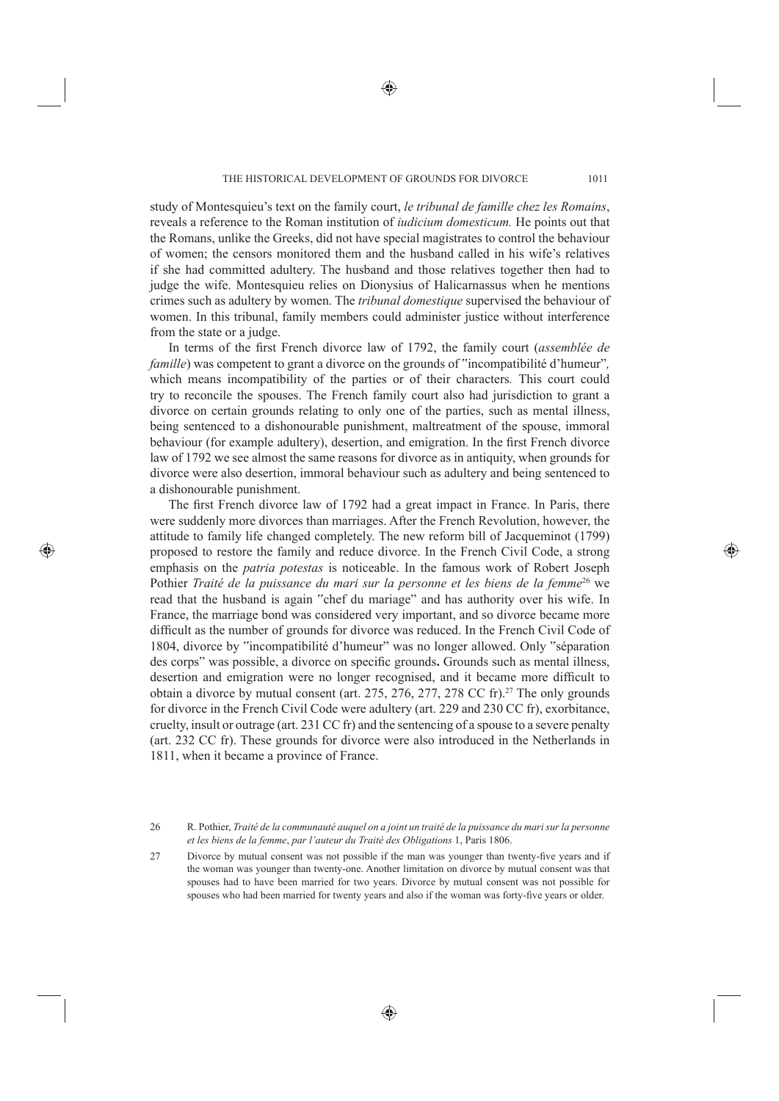study of Montesquieu's text on the family court, *le tribunal de famille chez les Romains*, reveals a reference to the Roman institution of *iudicium domesticum.* He points out that the Romans, unlike the Greeks, did not have special magistrates to control the behaviour of women; the censors monitored them and the husband called in his wife's relatives if she had committed adultery. The husband and those relatives together then had to judge the wife. Montesquieu relies on Dionysius of Halicarnassus when he mentions crimes such as adultery by women. The *tribunal domestique* supervised the behaviour of women. In this tribunal, family members could administer justice without interference from the state or a judge.

In terms of the first French divorce law of 1792, the family court *(assemblée de famille*) was competent to grant a divorce on the grounds of "incompatibilité d'humeur"*,* which means incompatibility of the parties or of their characters*.* This court could try to reconcile the spouses. The French family court also had jurisdiction to grant a divorce on certain grounds relating to only one of the parties, such as mental illness, being sentenced to a dishonourable punishment, maltreatment of the spouse, immoral behaviour (for example adultery), desertion, and emigration. In the first French divorce law of 1792 we see almost the same reasons for divorce as in antiquity, when grounds for divorce were also desertion, immoral behaviour such as adultery and being sentenced to a dishonourable punishment.

The first French divorce law of 1792 had a great impact in France. In Paris, there were suddenly more divorces than marriages. After the French Revolution, however, the attitude to family life changed completely. The new reform bill of Jacqueminot (1799) proposed to restore the family and reduce divorce. In the French Civil Code, a strong emphasis on the *patria potestas* is noticeable. In the famous work of Robert Joseph Pothier *Traité de la puissance du mari sur la personne et les biens de la femme<sup>26</sup> we* read that the husband is again "chef du mariage" and has authority over his wife. In France, the marriage bond was considered very important, and so divorce became more difficult as the number of grounds for divorce was reduced. In the French Civil Code of 1804, divorce by "incompatibilité d'humeur" was no longer allowed. Only "séparation des corps" was possible, a divorce on specific grounds. Grounds such as mental illness, desertion and emigration were no longer recognised, and it became more difficult to obtain a divorce by mutual consent (art. 275, 276, 277, 278 CC fr).27 The only grounds for divorce in the French Civil Code were adultery (art. 229 and 230 CC fr), exorbitance, cruelty, insult or outrage (art. 231 CC fr) and the sentencing of a spouse to a severe penalty (art. 232 CC fr). These grounds for divorce were also introduced in the Netherlands in 1811, when it became a province of France.

26 R. Pothier, *Traité de la communauté auquel on a joint un traité de la puissance du mari sur la personne et les biens de la femme*, *par l'auteur du Traité des Obligations* 1, Paris 1806.

27 Divorce by mutual consent was not possible if the man was younger than twenty-five years and if the woman was younger than twenty-one. Another limitation on divorce by mutual consent was that spouses had to have been married for two years. Divorce by mutual consent was not possible for spouses who had been married for twenty years and also if the woman was forty-five years or older.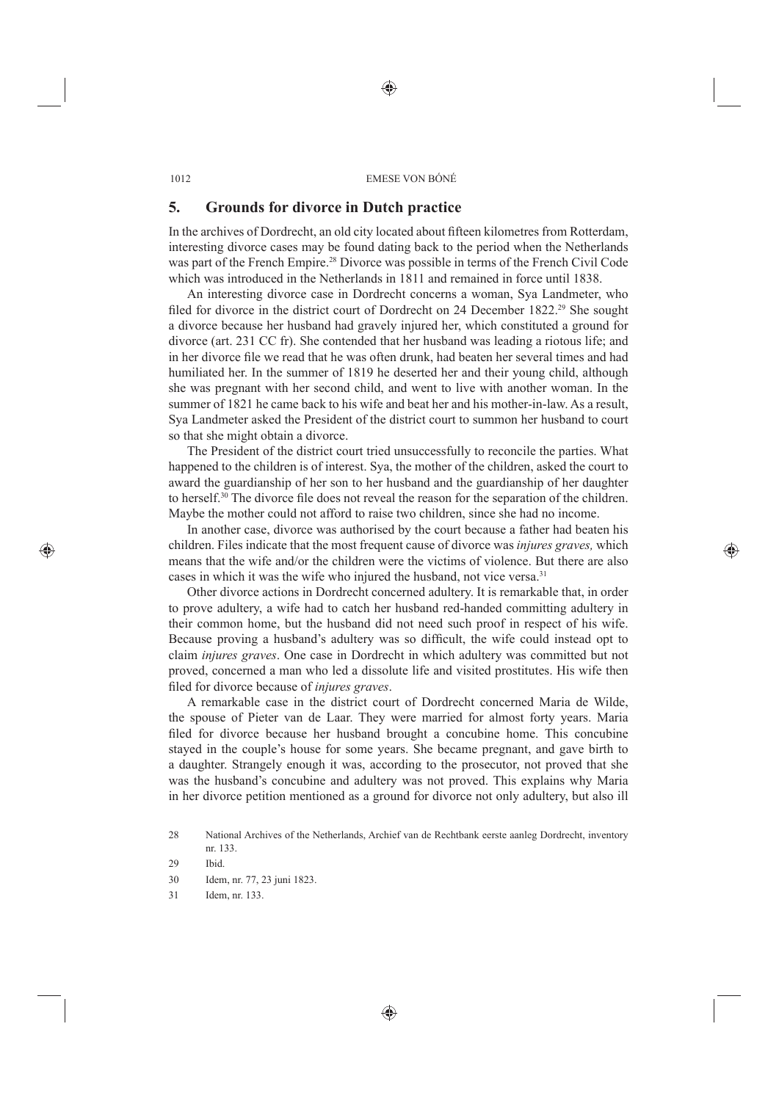#### **5. Grounds for divorce in Dutch practice**

In the archives of Dordrecht, an old city located about fi fteen kilometres from Rotterdam, interesting divorce cases may be found dating back to the period when the Netherlands was part of the French Empire<sup>28</sup> Divorce was possible in terms of the French Civil Code which was introduced in the Netherlands in 1811 and remained in force until 1838.

An interesting divorce case in Dordrecht concerns a woman, Sya Landmeter, who filed for divorce in the district court of Dordrecht on 24 December  $1822^{29}$  She sought a divorce because her husband had gravely injured her, which constituted a ground for divorce (art. 231 CC fr). She contended that her husband was leading a riotous life; and in her divorce file we read that he was often drunk, had beaten her several times and had humiliated her. In the summer of 1819 he deserted her and their young child, although she was pregnant with her second child, and went to live with another woman. In the summer of 1821 he came back to his wife and beat her and his mother-in-law. As a result, Sya Landmeter asked the President of the district court to summon her husband to court so that she might obtain a divorce.

The President of the district court tried unsuccessfully to reconcile the parties. What happened to the children is of interest. Sya, the mother of the children, asked the court to award the guardianship of her son to her husband and the guardianship of her daughter to herself.<sup>30</sup> The divorce file does not reveal the reason for the separation of the children. Maybe the mother could not afford to raise two children, since she had no income.

In another case, divorce was authorised by the court because a father had beaten his children. Files indicate that the most frequent cause of divorce was *injures graves,* which means that the wife and/or the children were the victims of violence. But there are also cases in which it was the wife who injured the husband, not vice versa.<sup>31</sup>

Other divorce actions in Dordrecht concerned adultery. It is remarkable that, in order to prove adultery, a wife had to catch her husband red-handed committing adultery in their common home, but the husband did not need such proof in respect of his wife. Because proving a husband's adultery was so difficult, the wife could instead opt to claim *injures graves*. One case in Dordrecht in which adultery was committed but not proved, concerned a man who led a dissolute life and visited prostitutes. His wife then fi led for divorce because of *injures graves*.

A remarkable case in the district court of Dordrecht concerned Maria de Wilde, the spouse of Pieter van de Laar. They were married for almost forty years. Maria filed for divorce because her husband brought a concubine home. This concubine stayed in the couple's house for some years. She became pregnant, and gave birth to a daughter. Strangely enough it was, according to the prosecutor, not proved that she was the husband's concubine and adultery was not proved. This explains why Maria in her divorce petition mentioned as a ground for divorce not only adultery, but also ill

30 Idem, nr. 77, 23 juni 1823.

<sup>28</sup> National Archives of the Netherlands, Archief van de Rechtbank eerste aanleg Dordrecht, inventory nr. 133.

<sup>29</sup> Ibid.

<sup>31</sup> Idem, nr. 133.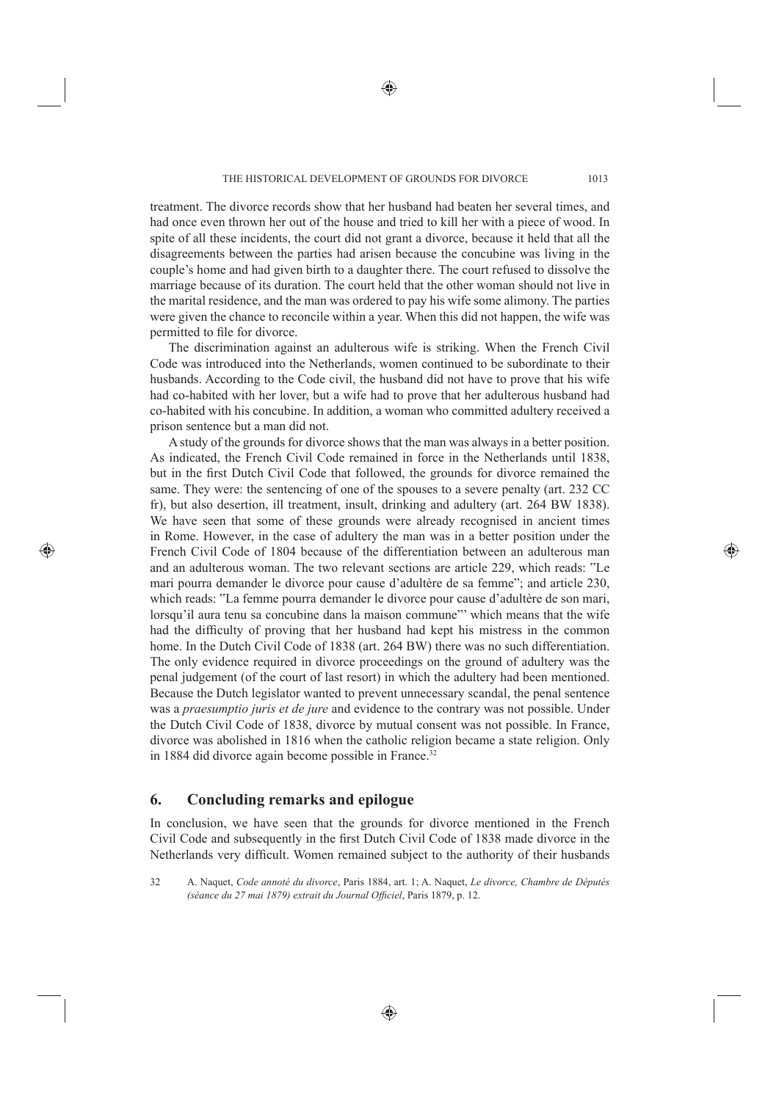treatment. The divorce records show that her husband had beaten her several times, and had once even thrown her out of the house and tried to kill her with a piece of wood. In spite of all these incidents, the court did not grant a divorce, because it held that all the disagreements between the parties had arisen because the concubine was living in the couple's home and had given birth to a daughter there. The court refused to dissolve the marriage because of its duration. The court held that the other woman should not live in the marital residence, and the man was ordered to pay his wife some alimony. The parties were given the chance to reconcile within a year. When this did not happen, the wife was permitted to file for divorce.

The discrimination against an adulterous wife is striking. When the French Civil Code was introduced into the Netherlands, women continued to be subordinate to their husbands. According to the Code civil, the husband did not have to prove that his wife had co-habited with her lover, but a wife had to prove that her adulterous husband had co-habited with his concubine. In addition, a woman who committed adultery received a prison sentence but a man did not.

A study of the grounds for divorce shows that the man was always in a better position. As indicated, the French Civil Code remained in force in the Netherlands until 1838, but in the first Dutch Civil Code that followed, the grounds for divorce remained the same. They were: the sentencing of one of the spouses to a severe penalty (art. 232 CC fr), but also desertion, ill treatment, insult, drinking and adultery (art. 264 BW 1838). We have seen that some of these grounds were already recognised in ancient times in Rome. However, in the case of adultery the man was in a better position under the French Civil Code of 1804 because of the differentiation between an adulterous man and an adulterous woman. The two relevant sections are article 229, which reads: "Le mari pourra demander le divorce pour cause d'adultère de sa femme"; and article 230, which reads: "La femme pourra demander le divorce pour cause d'adultère de son mari, lorsqu'il aura tenu sa concubine dans la maison commune"' which means that the wife had the difficulty of proving that her husband had kept his mistress in the common home. In the Dutch Civil Code of 1838 (art. 264 BW) there was no such differentiation. The only evidence required in divorce proceedings on the ground of adultery was the penal judgement (of the court of last resort) in which the adultery had been mentioned. Because the Dutch legislator wanted to prevent unnecessary scandal, the penal sentence was a *praesumptio juris et de jure* and evidence to the contrary was not possible. Under the Dutch Civil Code of 1838, divorce by mutual consent was not possible. In France, divorce was abolished in 1816 when the catholic religion became a state religion. Only in 1884 did divorce again become possible in France.<sup>32</sup>

### **6. Concluding remarks and epilogue**

In conclusion, we have seen that the grounds for divorce mentioned in the French Civil Code and subsequently in the first Dutch Civil Code of 1838 made divorce in the Netherlands very difficult. Women remained subject to the authority of their husbands

<sup>32</sup> A. Naquet, *Code annoté du divorce*, Paris 1884, art. 1; A. Naquet, *Le divorce, Chambre de Députés (séance du 27 mai 1879) extrait du Journal Officiel*, Paris 1879, p. 12.